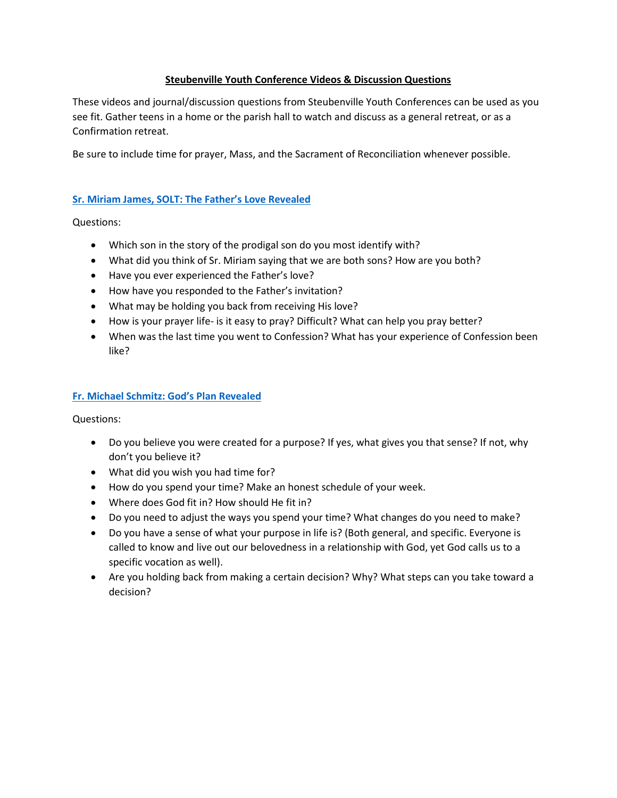## **Steubenville Youth Conference Videos & Discussion Questions**

These videos and journal/discussion questions from Steubenville Youth Conferences can be used as you see fit. Gather teens in a home or the parish hall to watch and discuss as a general retreat, or as a Confirmation retreat.

Be sure to include time for prayer, Mass, and the Sacrament of Reconciliation whenever possible.

## **[Sr. Miriam James, SOLT: The Father's Love Revealed](https://www.youtube.com/watch?v=Crh2WFdBW1o)**

Questions:

- Which son in the story of the prodigal son do you most identify with?
- What did you think of Sr. Miriam saying that we are both sons? How are you both?
- Have you ever experienced the Father's love?
- How have you responded to the Father's invitation?
- What may be holding you back from receiving His love?
- How is your prayer life- is it easy to pray? Difficult? What can help you pray better?
- When was the last time you went to Confession? What has your experience of Confession been like?

## **[Fr. Michael Schmitz: God's Plan Revealed](https://www.youtube.com/watch?v=KVmSJlD6UqM)**

Questions:

- Do you believe you were created for a purpose? If yes, what gives you that sense? If not, why don't you believe it?
- What did you wish you had time for?
- How do you spend your time? Make an honest schedule of your week.
- Where does God fit in? How should He fit in?
- Do you need to adjust the ways you spend your time? What changes do you need to make?
- Do you have a sense of what your purpose in life is? (Both general, and specific. Everyone is called to know and live out our belovedness in a relationship with God, yet God calls us to a specific vocation as well).
- Are you holding back from making a certain decision? Why? What steps can you take toward a decision?